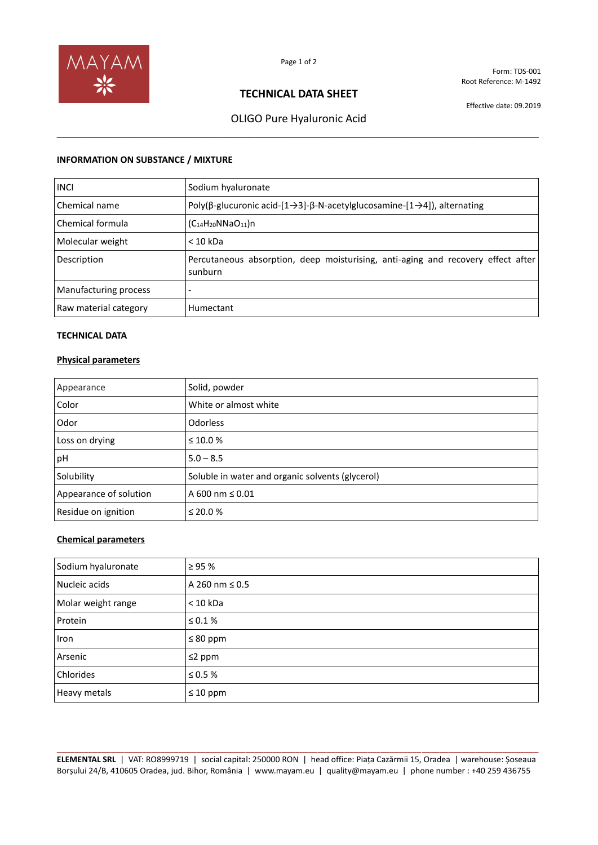

Form: TDS-001 Root Reference: M-1492

## **TECHNICAL DATA SHEET**

Effective date: 09.2019

# OLIGO Pure Hyaluronic Acid **\_\_\_\_\_\_\_\_\_\_\_\_\_\_\_\_\_\_\_\_\_\_\_\_\_\_\_\_\_\_\_\_\_\_\_\_\_\_\_\_\_\_\_\_\_\_\_\_\_\_\_\_\_\_\_\_\_\_\_\_\_\_\_\_\_\_\_\_\_\_\_\_\_\_\_\_\_\_\_\_**

### **INFORMATION ON SUBSTANCE / MIXTURE**

| <b>INCI</b>           | Sodium hyaluronate                                                                                                     |
|-----------------------|------------------------------------------------------------------------------------------------------------------------|
| Chemical name         | Poly( $\beta$ -glucuronic acid- $[1 \rightarrow 3]$ - $\beta$ -N-acetylglucosamine- $[1 \rightarrow 4]$ ), alternating |
| Chemical formula      | $(C_{14}H_{20}NNaO_{11})n$                                                                                             |
| Molecular weight      | $< 10$ kDa                                                                                                             |
| Description           | Percutaneous absorption, deep moisturising, anti-aging and recovery effect after<br>sunburn                            |
| Manufacturing process |                                                                                                                        |
| Raw material category | Humectant                                                                                                              |

## **TECHNICAL DATA**

## **Physical parameters**

| Appearance             | Solid, powder                                    |
|------------------------|--------------------------------------------------|
| Color                  | White or almost white                            |
| Odor                   | <b>Odorless</b>                                  |
| Loss on drying         | $\leq 10.0 \%$                                   |
| pH                     | $5.0 - 8.5$                                      |
| Solubility             | Soluble in water and organic solvents (glycerol) |
| Appearance of solution | A 600 nm ≤ 0.01                                  |
| Residue on ignition    | $\leq$ 20.0 %                                    |

## **Chemical parameters**

| Sodium hyaluronate | $\geq 95 \%$        |
|--------------------|---------------------|
| Nucleic acids      | A 260 nm $\leq$ 0.5 |
| Molar weight range | $<$ 10 kDa          |
| Protein            | $\leq 0.1\%$        |
| Iron               | $\leq 80$ ppm       |
| Arsenic            | $\leq$ 2 ppm        |
| Chlorides          | $\leq 0.5$ %        |
| Heavy metals       | $\leq 10$ ppm       |